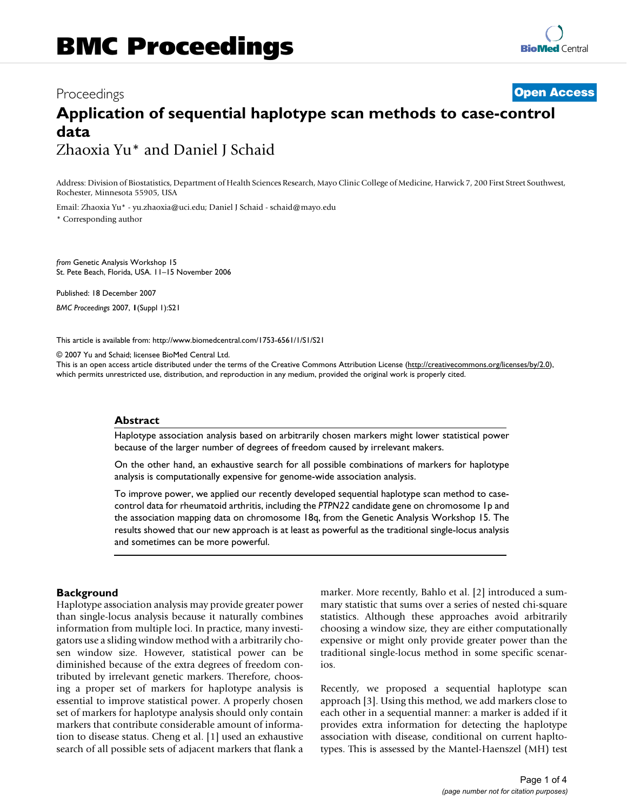# Proceedings **[Open Access](http://www.biomedcentral.com/info/about/charter/) Application of sequential haplotype scan methods to case-control data** Zhaoxia Yu\* and Daniel J Schaid

Address: Division of Biostatistics, Department of Health Sciences Research, Mayo Clinic College of Medicine, Harwick 7, 200 First Street Southwest, Rochester, Minnesota 55905, USA

Email: Zhaoxia Yu\* - yu.zhaoxia@uci.edu; Daniel J Schaid - schaid@mayo.edu

\* Corresponding author

*from* Genetic Analysis Workshop 15 St. Pete Beach, Florida, USA. 11–15 November 2006

Published: 18 December 2007 *BMC Proceedings* 2007, **1**(Suppl 1):S21

[This article is available from: http://www.biomedcentral.com/1753-6561/1/S1/S21](http://www.biomedcentral.com/1753-6561/1/S1/S21)

© 2007 Yu and Schaid; licensee BioMed Central Ltd.

This is an open access article distributed under the terms of the Creative Commons Attribution License [\(http://creativecommons.org/licenses/by/2.0\)](http://creativecommons.org/licenses/by/2.0), which permits unrestricted use, distribution, and reproduction in any medium, provided the original work is properly cited.

# **Abstract**

Haplotype association analysis based on arbitrarily chosen markers might lower statistical power because of the larger number of degrees of freedom caused by irrelevant makers.

On the other hand, an exhaustive search for all possible combinations of markers for haplotype analysis is computationally expensive for genome-wide association analysis.

To improve power, we applied our recently developed sequential haplotype scan method to casecontrol data for rheumatoid arthritis, including the *PTPN22* candidate gene on chromosome 1p and the association mapping data on chromosome 18q, from the Genetic Analysis Workshop 15. The results showed that our new approach is at least as powerful as the traditional single-locus analysis and sometimes can be more powerful.

# **Background**

Haplotype association analysis may provide greater power than single-locus analysis because it naturally combines information from multiple loci. In practice, many investigators use a sliding window method with a arbitrarily chosen window size. However, statistical power can be diminished because of the extra degrees of freedom contributed by irrelevant genetic markers. Therefore, choosing a proper set of markers for haplotype analysis is essential to improve statistical power. A properly chosen set of markers for haplotype analysis should only contain markers that contribute considerable amount of information to disease status. Cheng et al. [1] used an exhaustive search of all possible sets of adjacent markers that flank a marker. More recently, Bahlo et al. [2] introduced a summary statistic that sums over a series of nested chi-square statistics. Although these approaches avoid arbitrarily choosing a window size, they are either computationally expensive or might only provide greater power than the traditional single-locus method in some specific scenarios.

Recently, we proposed a sequential haplotype scan approach [3]. Using this method, we add markers close to each other in a sequential manner: a marker is added if it provides extra information for detecting the haplotype association with disease, conditional on current hapltotypes. This is assessed by the Mantel-Haenszel (MH) test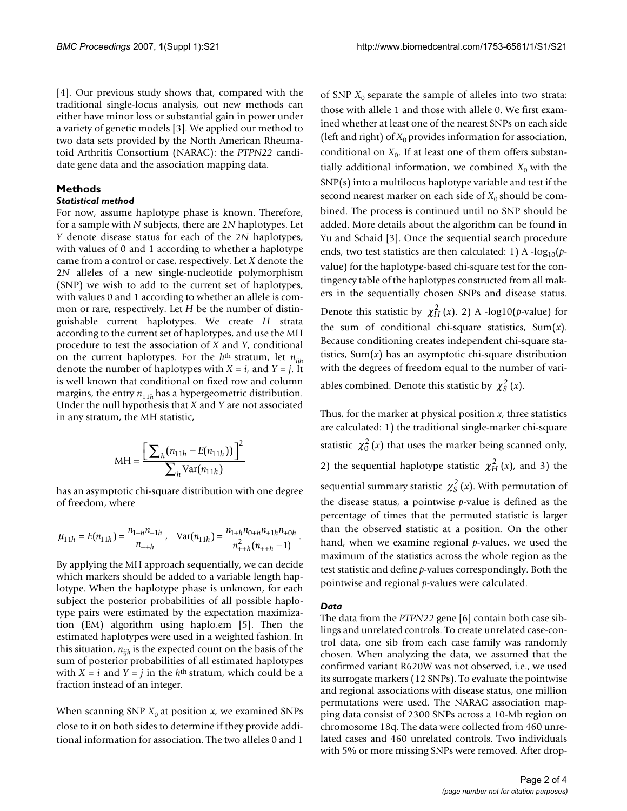[4]. Our previous study shows that, compared with the traditional single-locus analysis, out new methods can either have minor loss or substantial gain in power under a variety of genetic models [3]. We applied our method to two data sets provided by the North American Rheumatoid Arthritis Consortium (NARAC): the *PTPN22* candidate gene data and the association mapping data.

# **Methods**

#### *Statistical method*

For now, assume haplotype phase is known. Therefore, for a sample with *N* subjects, there are 2*N* haplotypes. Let *Y* denote disease status for each of the 2*N* haplotypes, with values of 0 and 1 according to whether a haplotype came from a control or case, respectively. Let *X* denote the 2*N* alleles of a new single-nucleotide polymorphism (SNP) we wish to add to the current set of haplotypes, with values 0 and 1 according to whether an allele is common or rare, respectively. Let *H* be the number of distinguishable current haplotypes. We create *H* strata according to the current set of haplotypes, and use the MH procedure to test the association of *X* and *Y*, conditional on the current haplotypes. For the *h*th stratum, let *nijh* denote the number of haplotypes with  $X = i$ , and  $Y = j$ . It is well known that conditional on fixed row and column margins, the entry  $n_{11h}$  has a hypergeometric distribution. Under the null hypothesis that *X* and *Y* are not associated in any stratum, the MH statistic,

$$
MH = \frac{\left[\sum_{h} (n_{11h} - E(n_{11h}))\right]^{2}}{\sum_{h} Var(n_{11h})}
$$

has an asymptotic chi-square distribution with one degree of freedom, where

$$
\mu_{11h} = E(n_{11h}) = \frac{n_{1+h}n_{11h}}{n_{1+h}}, \quad \text{Var}(n_{11h}) = \frac{n_{1+h}n_{0+h}n_{11h}n_{10h}}{n_{1+h}^2(n_{1+h}-1)}.
$$

By applying the MH approach sequentially, we can decide which markers should be added to a variable length haplotype. When the haplotype phase is unknown, for each subject the posterior probabilities of all possible haplotype pairs were estimated by the expectation maximization (EM) algorithm using haplo.em [5]. Then the estimated haplotypes were used in a weighted fashion. In this situation,  $n_{ijk}$  is the expected count on the basis of the sum of posterior probabilities of all estimated haplotypes with  $X = i$  and  $Y = j$  in the  $h<sup>th</sup>$  stratum, which could be a fraction instead of an integer.

When scanning SNP  $X_0$  at position  $x$ , we examined SNPs close to it on both sides to determine if they provide additional information for association. The two alleles 0 and 1

of SNP  $X_0$  separate the sample of alleles into two strata: those with allele 1 and those with allele 0. We first examined whether at least one of the nearest SNPs on each side (left and right) of  $X_0$  provides information for association, conditional on  $X_0$ . If at least one of them offers substantially additional information, we combined  $X_0$  with the SNP(s) into a multilocus haplotype variable and test if the second nearest marker on each side of  $X_0$  should be combined. The process is continued until no SNP should be added. More details about the algorithm can be found in Yu and Schaid [3]. Once the sequential search procedure ends, two test statistics are then calculated: 1) A  $-log_{10}(p$ value) for the haplotype-based chi-square test for the contingency table of the haplotypes constructed from all makers in the sequentially chosen SNPs and disease status. Denote this statistic by  $\chi^2_H(x)$ . 2) A -log10(*p*-value) for the sum of conditional chi-square statistics, Sum(*x*). Because conditioning creates independent chi-square statistics,  $Sum(x)$  has an asymptotic chi-square distribution with the degrees of freedom equal to the number of variables combined. Denote this statistic by  $\chi^2_S(x)$ .

Thus, for the marker at physical position *x*, three statistics are calculated: 1) the traditional single-marker chi-square statistic  $\chi_0^2(x)$  that uses the marker being scanned only, 2) the sequential haplotype statistic  $\chi^2_H(x)$ , and 3) the sequential summary statistic  $\chi_{\rm S}^2 \left( x \right)$ . With permutation of the disease status, a pointwise *p*-value is defined as the percentage of times that the permuted statistic is larger than the observed statistic at a position. On the other hand, when we examine regional *p*-values, we used the maximum of the statistics across the whole region as the test statistic and define *p*-values correspondingly. Both the pointwise and regional *p*-values were calculated.

#### *Data*

The data from the *PTPN22* gene [6] contain both case siblings and unrelated controls. To create unrelated case-control data, one sib from each case family was randomly chosen. When analyzing the data, we assumed that the confirmed variant R620W was not observed, i.e., we used its surrogate markers (12 SNPs). To evaluate the pointwise and regional associations with disease status, one million permutations were used. The NARAC association mapping data consist of 2300 SNPs across a 10-Mb region on chromosome 18q. The data were collected from 460 unrelated cases and 460 unrelated controls. Two individuals with 5% or more missing SNPs were removed. After drop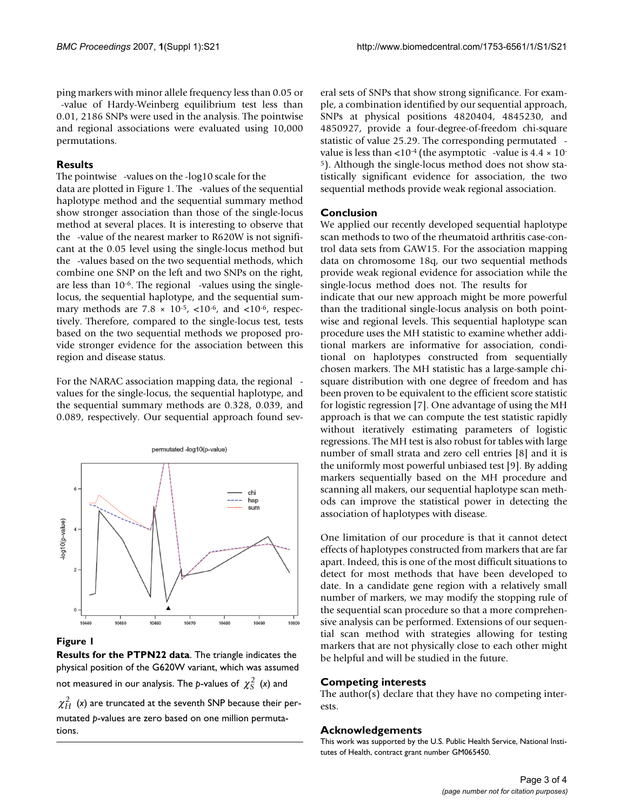ping markers with minor allele frequency less than 0.05 or -value of Hardy-Weinberg equilibrium test less than 0.01, 2186 SNPs were used in the analysis. The pointwise and regional associations were evaluated using 10,000 permutations.

# **Results**

The pointwise -values on the -log10 scale for the

data are plotted in Figure 1. The -values of the sequential haplotype method and the sequential summary method show stronger association than those of the single-locus method at several places. It is interesting to observe that the -value of the nearest marker to R620W is not significant at the 0.05 level using the single-locus method but the -values based on the two sequential methods, which combine one SNP on the left and two SNPs on the right, are less than  $10^{-6}$ . The regional -values using the singlelocus, the sequential haplotype, and the sequential summary methods are  $7.8 \times 10^{-5}$ ,  $< 10^{-6}$ , and  $< 10^{-6}$ , respectively. Therefore, compared to the single-locus test, tests based on the two sequential methods we proposed provide stronger evidence for the association between this region and disease status.

For the NARAC association mapping data, the regional values for the single-locus, the sequential haplotype, and the sequential summary methods are 0.328, 0.039, and 0.089, respectively. Our sequential approach found sev-



#### **Figure 1**

**Results for the PTPN22 data**. The triangle indicates the physical position of the G620W variant, which was assumed not measured in our analysis. The  $p$ -values of  $\chi^2_S$  (x) and  $\chi^2_H$  (x) are truncated at the seventh SNP because their permutated *p*-values are zero based on one million permutations.

eral sets of SNPs that show strong significance. For example, a combination identified by our sequential approach, SNPs at physical positions 4820404, 4845230, and 4850927, provide a four-degree-of-freedom chi-square statistic of value 25.29. The corresponding permutated value is less than  $\langle 10^{-4}$  (the asymptotic -value is 4.4  $\times$  10<sup>-1</sup> 5). Although the single-locus method does not show statistically significant evidence for association, the two sequential methods provide weak regional association.

# **Conclusion**

We applied our recently developed sequential haplotype scan methods to two of the rheumatoid arthritis case-control data sets from GAW15. For the association mapping data on chromosome 18q, our two sequential methods provide weak regional evidence for association while the single-locus method does not. The results for

indicate that our new approach might be more powerful than the traditional single-locus analysis on both pointwise and regional levels. This sequential haplotype scan procedure uses the MH statistic to examine whether additional markers are informative for association, conditional on haplotypes constructed from sequentially chosen markers. The MH statistic has a large-sample chisquare distribution with one degree of freedom and has been proven to be equivalent to the efficient score statistic for logistic regression [7]. One advantage of using the MH approach is that we can compute the test statistic rapidly without iteratively estimating parameters of logistic regressions. The MH test is also robust for tables with large number of small strata and zero cell entries [8] and it is the uniformly most powerful unbiased test [9]. By adding markers sequentially based on the MH procedure and scanning all makers, our sequential haplotype scan methods can improve the statistical power in detecting the association of haplotypes with disease.

One limitation of our procedure is that it cannot detect effects of haplotypes constructed from markers that are far apart. Indeed, this is one of the most difficult situations to detect for most methods that have been developed to date. In a candidate gene region with a relatively small number of markers, we may modify the stopping rule of the sequential scan procedure so that a more comprehensive analysis can be performed. Extensions of our sequential scan method with strategies allowing for testing markers that are not physically close to each other might be helpful and will be studied in the future.

# **Competing interests**

The author(s) declare that they have no competing interests.

#### **Acknowledgements**

This work was supported by the U.S. Public Health Service, National Institutes of Health, contract grant number GM065450.